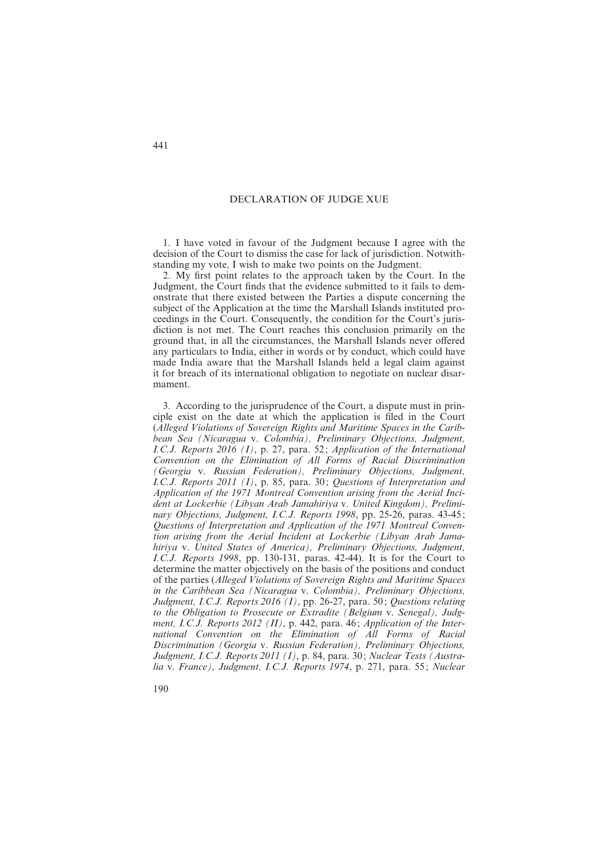## DECLARATION OF JUDGE XUE

1. I have voted in favour of the Judgment because I agree with the decision of the Court to dismiss the case for lack of jurisdiction. Notwithstanding my vote, I wish to make two points on the Judgment.

2. My first point relates to the approach taken by the Court. In the Judgment, the Court finds that the evidence submitted to it fails to demonstrate that there existed between the Parties a dispute concerning the subject of the Application at the time the Marshall Islands instituted proceedings in the Court. Consequently, the condition for the Court's jurisdiction is not met. The Court reaches this conclusion primarily on the ground that, in all the circumstances, the Marshall Islands never offered any particulars to India, either in words or by conduct, which could have made India aware that the Marshall Islands held a legal claim against it for breach of its international obligation to negotiate on nuclear disarmament.

3. According to the jurisprudence of the Court, a dispute must in principle exist on the date at which the application is filed in the Court (*Alleged Violations of Sovereign Rights and Maritime Spaces in the Caribbean Sea (Nicaragua* v. *Colombia), Preliminary Objections, Judgment, I.C.J. Reports 2016 (I)*, p. 27, para. 52 ; *Application of the International Convention on the Elimination of All Forms of Racial Discrimination (Georgia* v. *Russian Federation), Preliminary Objections, Judgment, I.C.J. Reports 2011 (I)*, p. 85, para. 30 ; *Questions of Interpretation and Application of the 1971 Montreal Convention arising from the Aerial Incident at Lockerbie (Libyan Arab Jamahiriya* v. *United Kingdom), Preliminary Objections, Judgment, I.C.J. Reports 1998*, pp. 25-26, paras. 43-45 ; *Questions of Interpretation and Application of the 1971 Montreal Convention arising from the Aerial Incident at Lockerbie (Libyan Arab Jamahiriya* v. *United States of America), Preliminary Objections, Judgment, I.C.J. Reports 1998*, pp. 130-131, paras. 42-44). It is for the Court to determine the matter objectively on the basis of the positions and conduct of the parties (*Alleged Violations of Sovereign Rights and Maritime Spaces in the Caribbean Sea (Nicaragua* v. *Colombia), Preliminary Objections, Judgment, I.C.J. Reports 2016 (I)*, pp. 26-27, para. 50 ; *Questions relating to the Obligation to Prosecute or Extradite (Belgium* v. *Senegal), Judgment, I.C.J. Reports 2012 (II)*, p. 442, para. 46 ; *Application of the International Convention on the Elimination of All Forms of Racial Discrimination (Georgia* v. *Russian Federation), Preliminary Objections, Judgment, I.C.J. Reports 2011 (I)*, p. 84, para. 30 ; *Nuclear Tests (Australia* v. *France), Judgment, I.C.J. Reports 1974*, p. 271, para. 55 ; *Nuclear*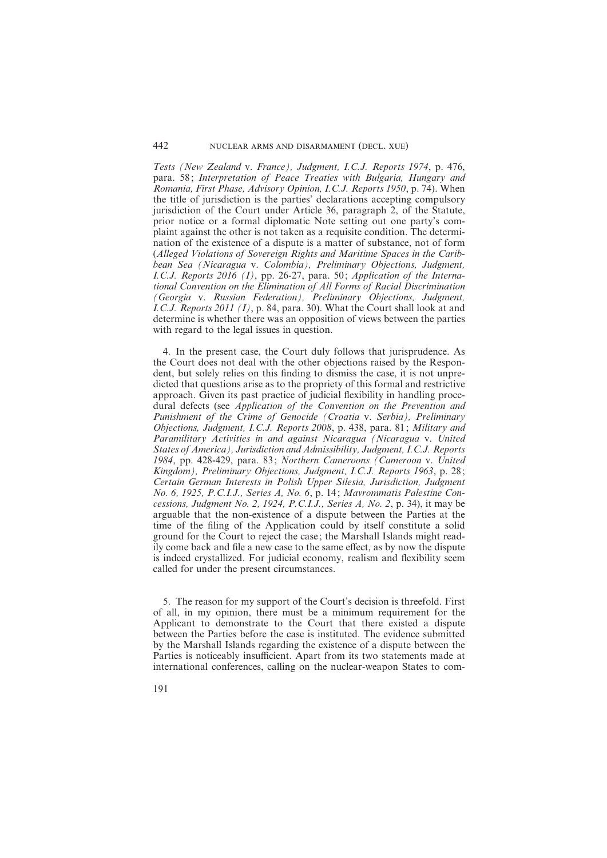*Tests (New Zealand* v. *France), Judgment, I.C.J. Reports 1974*, p. 476, para. 58; Interpretation of Peace Treaties with Bulgaria, Hungary and *Romania, First Phase, Advisory Opinion, I.C.J. Reports 1950*, p. 74). When the title of jurisdiction is the parties' declarations accepting compulsory jurisdiction of the Court under Article 36, paragraph 2, of the Statute, prior notice or a formal diplomatic Note setting out one party's complaint against the other is not taken as a requisite condition. The determination of the existence of a dispute is a matter of substance, not of form (*Alleged Violations of Sovereign Rights and Maritime Spaces in the Caribbean Sea (Nicaragua* v. *Colombia), Preliminary Objections, Judgment, I.C.J. Reports 2016 (I)*, pp. 26-27, para. 50 ; *Application of the International Convention on the Elimination of All Forms of Racial Discrimination (Georgia* v. *Russian Federation), Preliminary Objections, Judgment, I.C.J. Reports 2011 (I)*, p. 84, para. 30). What the Court shall look at and determine is whether there was an opposition of views between the parties with regard to the legal issues in question.

4. In the present case, the Court duly follows that jurisprudence. As the Court does not deal with the other objections raised by the Respondent, but solely relies on this finding to dismiss the case, it is not unpredicted that questions arise as to the propriety of this formal and restrictive approach. Given its past practice of judicial flexibility in handling procedural defects (see *Application of the Convention on the Prevention and Punishment of the Crime of Genocide (Croatia* v. *Serbia), Preliminary Objections, Judgment, I.C.J. Reports 2008*, p. 438, para. 81 ; *Military and Paramilitary Activities in and against Nicaragua (Nicaragua* v. *United States of America), Jurisdiction and Admissibility, Judgment, I.C.J. Reports 1984*, pp. 428-429, para. 83 ; *Northern Cameroons (Cameroon* v. *United Kingdom), Preliminary Objections, Judgment, I.C.J. Reports 1963*, p. 28 ; *Certain German Interests in Polish Upper Silesia, Jurisdiction, Judgment No. 6, 1925, P.C.I.J., Series A, No. 6*, p. 14 ; *Mavrommatis Palestine Concessions, Judgment No. 2, 1924, P.C.I.J., Series A, No. 2*, p. 34), it may be arguable that the non-existence of a dispute between the Parties at the time of the filing of the Application could by itself constitute a solid ground for the Court to reject the case ; the Marshall Islands might readily come back and file a new case to the same effect, as by now the dispute is indeed crystallized. For judicial economy, realism and flexibility seem called for under the present circumstances.

5. The reason for my support of the Court's decision is threefold. First of all, in my opinion, there must be a minimum requirement for the Applicant to demonstrate to the Court that there existed a dispute between the Parties before the case is instituted. The evidence submitted by the Marshall Islands regarding the existence of a dispute between the Parties is noticeably insufficient. Apart from its two statements made at international conferences, calling on the nuclear-weapon States to com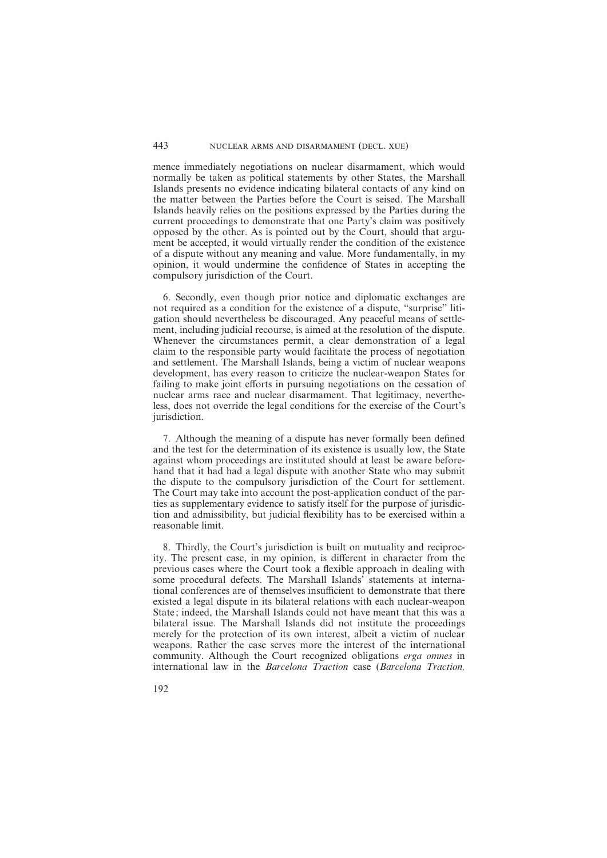mence immediately negotiations on nuclear disarmament, which would normally be taken as political statements by other States, the Marshall Islands presents no evidence indicating bilateral contacts of any kind on the matter between the Parties before the Court is seised. The Marshall Islands heavily relies on the positions expressed by the Parties during the current proceedings to demonstrate that one Party's claim was positively opposed by the other. As is pointed out by the Court, should that argument be accepted, it would virtually render the condition of the existence of a dispute without any meaning and value. More fundamentally, in my opinion, it would undermine the confidence of States in accepting the compulsory jurisdiction of the Court.

6. Secondly, even though prior notice and diplomatic exchanges are not required as a condition for the existence of a dispute, "surprise" litigation should nevertheless be discouraged. Any peaceful means of settlement, including judicial recourse, is aimed at the resolution of the dispute. Whenever the circumstances permit, a clear demonstration of a legal claim to the responsible party would facilitate the process of negotiation and settlement. The Marshall Islands, being a victim of nuclear weapons development, has every reason to criticize the nuclear-weapon States for failing to make joint efforts in pursuing negotiations on the cessation of nuclear arms race and nuclear disarmament. That legitimacy, nevertheless, does not override the legal conditions for the exercise of the Court's jurisdiction.

7. Although the meaning of a dispute has never formally been defined and the test for the determination of its existence is usually low, the State against whom proceedings are instituted should at least be aware beforehand that it had had a legal dispute with another State who may submit the dispute to the compulsory jurisdiction of the Court for settlement. The Court may take into account the post-application conduct of the parties as supplementary evidence to satisfy itself for the purpose of jurisdiction and admissibility, but judicial flexibility has to be exercised within a reasonable limit.

8. Thirdly, the Court's jurisdiction is built on mutuality and reciprocity. The present case, in my opinion, is different in character from the previous cases where the Court took a flexible approach in dealing with some procedural defects. The Marshall Islands' statements at international conferences are of themselves insufficient to demonstrate that there existed a legal dispute in its bilateral relations with each nuclear-weapon State; indeed, the Marshall Islands could not have meant that this was a bilateral issue. The Marshall Islands did not institute the proceedings merely for the protection of its own interest, albeit a victim of nuclear weapons. Rather the case serves more the interest of the international community. Although the Court recognized obligations *erga omnes* in international law in the *Barcelona Traction* case (*Barcelona Traction,*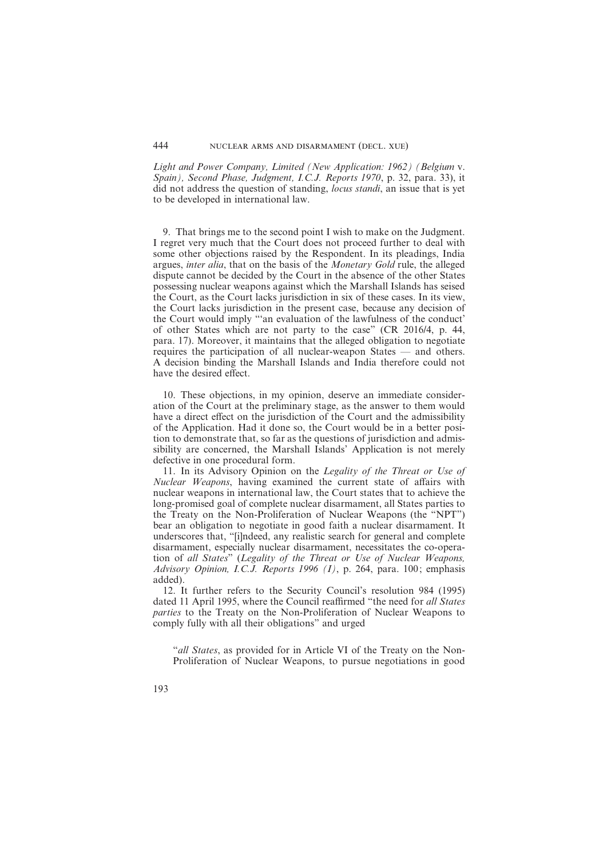*Light and Power Company, Limited (New Application: 1962) (Belgium* v. *Spain), Second Phase, Judgment, I.C.J. Reports 1970*, p. 32, para. 33), it did not address the question of standing, *locus standi*, an issue that is yet to be developed in international law.

9. That brings me to the second point I wish to make on the Judgment. I regret very much that the Court does not proceed further to deal with some other objections raised by the Respondent. In its pleadings, India argues, *inter alia*, that on the basis of the *Monetary Gold* rule, the alleged dispute cannot be decided by the Court in the absence of the other States possessing nuclear weapons against which the Marshall Islands has seised the Court, as the Court lacks jurisdiction in six of these cases. In its view, the Court lacks jurisdiction in the present case, because any decision of the Court would imply "'an evaluation of the lawfulness of the conduct' of other States which are not party to the case" (CR 2016/4, p. 44, para. 17). Moreover, it maintains that the alleged obligation to negotiate requires the participation of all nuclear-weapon States — and others. A decision binding the Marshall Islands and India therefore could not have the desired effect.

10. These objections, in my opinion, deserve an immediate consideration of the Court at the preliminary stage, as the answer to them would have a direct effect on the jurisdiction of the Court and the admissibility of the Application. Had it done so, the Court would be in a better position to demonstrate that, so far as the questions of jurisdiction and admissibility are concerned, the Marshall Islands' Application is not merely defective in one procedural form.

11. In its Advisory Opinion on the *Legality of the Threat or Use of Nuclear Weapons*, having examined the current state of affairs with nuclear weapons in international law, the Court states that to achieve the long-promised goal of complete nuclear disarmament, all States parties to the Treaty on the Non-Proliferation of Nuclear Weapons (the "NPT") bear an obligation to negotiate in good faith a nuclear disarmament. It underscores that, "[i]ndeed, any realistic search for general and complete disarmament, especially nuclear disarmament, necessitates the co-operation of *all States*" (*Legality of the Threat or Use of Nuclear Weapons, Advisory Opinion, I.C.J. Reports 1996 (I)*, p. 264, para. 100; emphasis added).

12. It further refers to the Security Council's resolution 984 (1995) dated 11 April 1995, where the Council reaffirmed "the need for *all States parties* to the Treaty on the Non-Proliferation of Nuclear Weapons to comply fully with all their obligations" and urged

"*all States*, as provided for in Article VI of the Treaty on the Non-Proliferation of Nuclear Weapons, to pursue negotiations in good